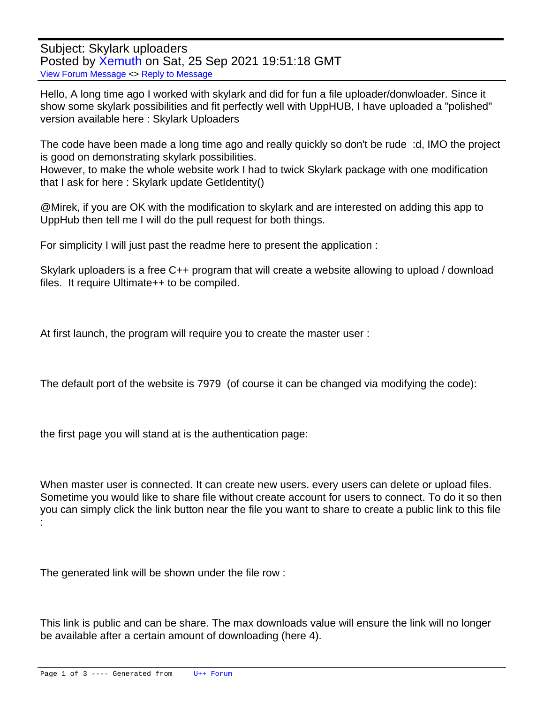Subject: Skylark uploaders Posted by [Xemuth](https://www.ultimatepp.org/forums/index.php?t=usrinfo&id=34388) on Sat, 25 Sep 2021 19:51:18 GMT [View Forum Message](https://www.ultimatepp.org/forums/index.php?t=rview&th=11647&goto=57563#msg_57563) <> [Reply to Message](https://www.ultimatepp.org/forums/index.php?t=post&reply_to=57563)

Hello, A long time ago I worked with skylark and did for fun a file uploader/donwloader. Since it show some skylark possibilities and fit perfectly well with UppHUB, I have uploaded a "polished" version available here : Skylark Uploaders

The code have been made a long time ago and really quickly so don't be rude :d, IMO the project is good on demonstrating skylark possibilities.

However, to make the whole website work I had to twick Skylark package with one modification that I ask for here : Skylark update GetIdentity()

@Mirek, if you are OK with the modification to skylark and are interested on adding this app to UppHub then tell me I will do the pull request for both things.

For simplicity I will just past the readme here to present the application :

Skylark uploaders is a free C++ program that will create a website allowing to upload / download files. It require Ultimate++ to be compiled.

At first launch, the program will require you to create the master user :

The default port of the website is 7979 (of course it can be changed via modifying the code):

the first page you will stand at is the authentication page:

When master user is connected. It can create new users. every users can delete or upload files. Sometime you would like to share file without create account for users to connect. To do it so then you can simply click the link button near the file you want to share to create a public link to this file :

The generated link will be shown under the file row :

This link is public and can be share. The max downloads value will ensure the link will no longer be available after a certain amount of downloading (here 4).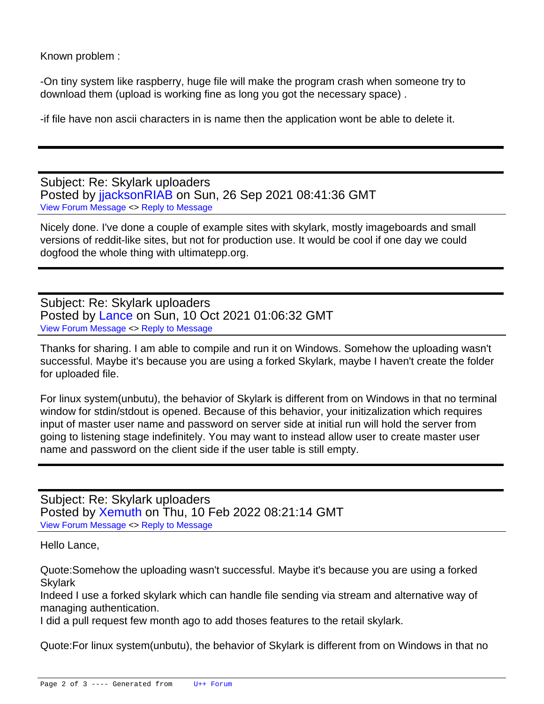Known problem :

-On tiny system like raspberry, huge file will make the program crash when someone try to download them (upload is working fine as long you got the necessary space) .

-if file have non ascii characters in is name then the application wont be able to delete it.

Subject: Re: Skylark uploaders Posted by jacksonRIAB on Sun, 26 Sep 2021 08:41:36 GMT [View Forum Message](https://www.ultimatepp.org/forums/index.php?t=rview&th=11647&goto=57567#msg_57567) <> [Reply to Message](https://www.ultimatepp.org/forums/index.php?t=post&reply_to=57567)

Nicely done. I've done a couple of example sites with skylark, mostly imageboards and small versions of reddit-like sites, but not for production use. It would be cool if one day we could dogfood the whole thing with ultimatepp.org.

Subject: Re: Skylark uploaders Posted by [Lance](https://www.ultimatepp.org/forums/index.php?t=usrinfo&id=339) on Sun, 10 Oct 2021 01:06:32 GMT [View Forum Message](https://www.ultimatepp.org/forums/index.php?t=rview&th=11647&goto=57617#msg_57617) <> [Reply to Message](https://www.ultimatepp.org/forums/index.php?t=post&reply_to=57617)

Thanks for sharing. I am able to compile and run it on Windows. Somehow the uploading wasn't successful. Maybe it's because you are using a forked Skylark, maybe I haven't create the folder for uploaded file.

For linux system(unbutu), the behavior of Skylark is different from on Windows in that no terminal window for stdin/stdout is opened. Because of this behavior, your initizalization which requires input of master user name and password on server side at initial run will hold the server from going to listening stage indefinitely. You may want to instead allow user to create master user name and password on the client side if the user table is still empty.

Subject: Re: Skylark uploaders Posted by [Xemuth](https://www.ultimatepp.org/forums/index.php?t=usrinfo&id=34388) on Thu, 10 Feb 2022 08:21:14 GMT [View Forum Message](https://www.ultimatepp.org/forums/index.php?t=rview&th=11647&goto=58083#msg_58083) <> [Reply to Message](https://www.ultimatepp.org/forums/index.php?t=post&reply_to=58083)

Hello Lance,

Quote:Somehow the uploading wasn't successful. Maybe it's because you are using a forked **Skylark** 

Indeed I use a forked skylark which can handle file sending via stream and alternative way of managing authentication.

I did a pull request few month ago to add thoses features to the retail skylark.

Quote:For linux system(unbutu), the behavior of Skylark is different from on Windows in that no